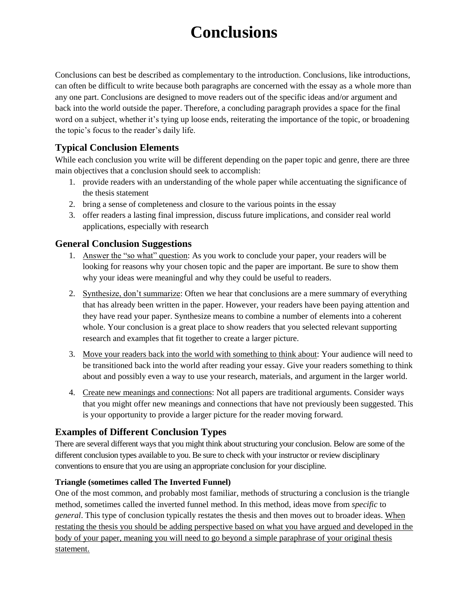# **Conclusions**

Conclusions can best be described as complementary to the introduction. Conclusions, like introductions, can often be difficult to write because both paragraphs are concerned with the essay as a whole more than any one part. Conclusions are designed to move readers out of the specific ideas and/or argument and back into the world outside the paper. Therefore, a concluding paragraph provides a space for the final word on a subject, whether it's tying up loose ends, reiterating the importance of the topic, or broadening the topic's focus to the reader's daily life.

# **Typical Conclusion Elements**

While each conclusion you write will be different depending on the paper topic and genre, there are three main objectives that a conclusion should seek to accomplish:

- 1. provide readers with an understanding of the whole paper while accentuating the significance of the thesis statement
- 2. bring a sense of completeness and closure to the various points in the essay
- 3. offer readers a lasting final impression, discuss future implications, and consider real world applications, especially with research

# **General Conclusion Suggestions**

- 1. Answer the "so what" question: As you work to conclude your paper, your readers will be looking for reasons why your chosen topic and the paper are important. Be sure to show them why your ideas were meaningful and why they could be useful to readers.
- 2. Synthesize, don't summarize: Often we hear that conclusions are a mere summary of everything that has already been written in the paper. However, your readers have been paying attention and they have read your paper. Synthesize means to combine a number of elements into a coherent whole. Your conclusion is a great place to show readers that you selected relevant supporting research and examples that fit together to create a larger picture.
- 3. Move your readers back into the world with something to think about: Your audience will need to be transitioned back into the world after reading your essay. Give your readers something to think about and possibly even a way to use your research, materials, and argument in the larger world.
- 4. Create new meanings and connections: Not all papers are traditional arguments. Consider ways that you might offer new meanings and connections that have not previously been suggested. This is your opportunity to provide a larger picture for the reader moving forward.

# **Examples of Different Conclusion Types**

There are several different ways that you might think about structuring your conclusion. Below are some of the different conclusion types available to you. Be sure to check with your instructor or review disciplinary conventions to ensure that you are using an appropriate conclusion for your discipline.

## **Triangle (sometimes called The Inverted Funnel)**

One of the most common, and probably most familiar, methods of structuring a conclusion is the triangle method, sometimes called the inverted funnel method. In this method, ideas move from *specific* to *general*. This type of conclusion typically restates the thesis and then moves out to broader ideas. When restating the thesis you should be adding perspective based on what you have argued and developed in the body of your paper, meaning you will need to go beyond a simple paraphrase of your original thesis statement.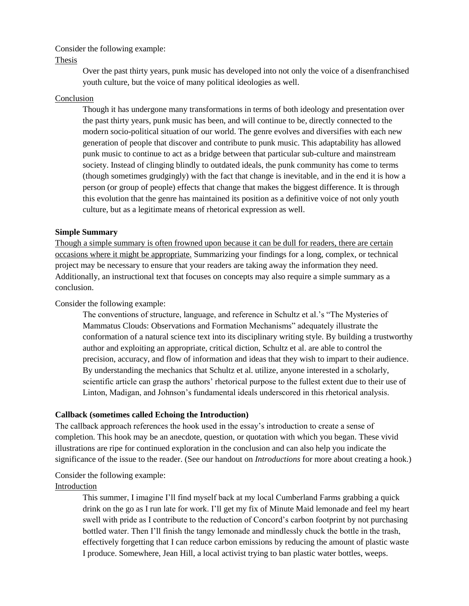#### Consider the following example:

#### Thesis

Over the past thirty years, punk music has developed into not only the voice of a disenfranchised youth culture, but the voice of many political ideologies as well.

#### Conclusion

Though it has undergone many transformations in terms of both ideology and presentation over the past thirty years, punk music has been, and will continue to be, directly connected to the modern socio-political situation of our world. The genre evolves and diversifies with each new generation of people that discover and contribute to punk music. This adaptability has allowed punk music to continue to act as a bridge between that particular sub-culture and mainstream society. Instead of clinging blindly to outdated ideals, the punk community has come to terms (though sometimes grudgingly) with the fact that change is inevitable, and in the end it is how a person (or group of people) effects that change that makes the biggest difference. It is through this evolution that the genre has maintained its position as a definitive voice of not only youth culture, but as a legitimate means of rhetorical expression as well.

#### **Simple Summary**

Though a simple summary is often frowned upon because it can be dull for readers, there are certain occasions where it might be appropriate. Summarizing your findings for a long, complex, or technical project may be necessary to ensure that your readers are taking away the information they need. Additionally, an instructional text that focuses on concepts may also require a simple summary as a conclusion.

## Consider the following example:

The conventions of structure, language, and reference in Schultz et al.'s "The Mysteries of Mammatus Clouds: Observations and Formation Mechanisms" adequately illustrate the conformation of a natural science text into its disciplinary writing style. By building a trustworthy author and exploiting an appropriate, critical diction, Schultz et al. are able to control the precision, accuracy, and flow of information and ideas that they wish to impart to their audience. By understanding the mechanics that Schultz et al. utilize, anyone interested in a scholarly, scientific article can grasp the authors' rhetorical purpose to the fullest extent due to their use of Linton, Madigan, and Johnson's fundamental ideals underscored in this rhetorical analysis.

#### **Callback (sometimes called Echoing the Introduction)**

The callback approach references the hook used in the essay's introduction to create a sense of completion. This hook may be an anecdote, question, or quotation with which you began. These vivid illustrations are ripe for continued exploration in the conclusion and can also help you indicate the significance of the issue to the reader. (See our handout on *Introductions* for more about creating a hook.)

#### Consider the following example:

#### Introduction

This summer, I imagine I'll find myself back at my local Cumberland Farms grabbing a quick drink on the go as I run late for work. I'll get my fix of Minute Maid lemonade and feel my heart swell with pride as I contribute to the reduction of Concord's carbon footprint by not purchasing bottled water. Then I'll finish the tangy lemonade and mindlessly chuck the bottle in the trash, effectively forgetting that I can reduce carbon emissions by reducing the amount of plastic waste I produce. Somewhere, Jean Hill, a local activist trying to ban plastic water bottles, weeps.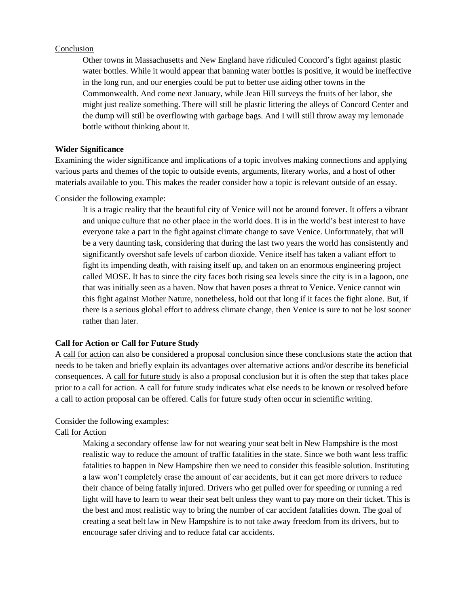#### Conclusion

Other towns in Massachusetts and New England have ridiculed Concord's fight against plastic water bottles. While it would appear that banning water bottles is positive, it would be ineffective in the long run, and our energies could be put to better use aiding other towns in the Commonwealth. And come next January, while Jean Hill surveys the fruits of her labor, she might just realize something. There will still be plastic littering the alleys of Concord Center and the dump will still be overflowing with garbage bags. And I will still throw away my lemonade bottle without thinking about it.

#### **Wider Significance**

Examining the wider significance and implications of a topic involves making connections and applying various parts and themes of the topic to outside events, arguments, literary works, and a host of other materials available to you. This makes the reader consider how a topic is relevant outside of an essay.

Consider the following example:

It is a tragic reality that the beautiful city of Venice will not be around forever. It offers a vibrant and unique culture that no other place in the world does. It is in the world's best interest to have everyone take a part in the fight against climate change to save Venice. Unfortunately, that will be a very daunting task, considering that during the last two years the world has consistently and significantly overshot safe levels of carbon dioxide. Venice itself has taken a valiant effort to fight its impending death, with raising itself up, and taken on an enormous engineering project called MOSE. It has to since the city faces both rising sea levels since the city is in a lagoon, one that was initially seen as a haven. Now that haven poses a threat to Venice. Venice cannot win this fight against Mother Nature, nonetheless, hold out that long if it faces the fight alone. But, if there is a serious global effort to address climate change, then Venice is sure to not be lost sooner rather than later.

#### **Call for Action or Call for Future Study**

A call for action can also be considered a proposal conclusion since these conclusions state the action that needs to be taken and briefly explain its advantages over alternative actions and/or describe its beneficial consequences. A call for future study is also a proposal conclusion but it is often the step that takes place prior to a call for action. A call for future study indicates what else needs to be known or resolved before a call to action proposal can be offered. Calls for future study often occur in scientific writing.

#### Consider the following examples:

#### Call for Action

Making a secondary offense law for not wearing your seat belt in New Hampshire is the most realistic way to reduce the amount of traffic fatalities in the state. Since we both want less traffic fatalities to happen in New Hampshire then we need to consider this feasible solution. Instituting a law won't completely erase the amount of car accidents, but it can get more drivers to reduce their chance of being fatally injured. Drivers who get pulled over for speeding or running a red light will have to learn to wear their seat belt unless they want to pay more on their ticket. This is the best and most realistic way to bring the number of car accident fatalities down. The goal of creating a seat belt law in New Hampshire is to not take away freedom from its drivers, but to encourage safer driving and to reduce fatal car accidents.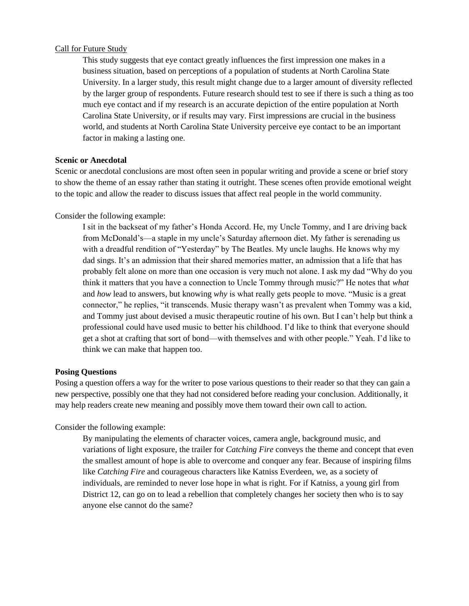#### Call for Future Study

This study suggests that eye contact greatly influences the first impression one makes in a business situation, based on perceptions of a population of students at North Carolina State University. In a larger study, this result might change due to a larger amount of diversity reflected by the larger group of respondents. Future research should test to see if there is such a thing as too much eye contact and if my research is an accurate depiction of the entire population at North Carolina State University, or if results may vary. First impressions are crucial in the business world, and students at North Carolina State University perceive eye contact to be an important factor in making a lasting one.

#### **Scenic or Anecdotal**

Scenic or anecdotal conclusions are most often seen in popular writing and provide a scene or brief story to show the theme of an essay rather than stating it outright. These scenes often provide emotional weight to the topic and allow the reader to discuss issues that affect real people in the world community.

#### Consider the following example:

I sit in the backseat of my father's Honda Accord. He, my Uncle Tommy, and I are driving back from McDonald's—a staple in my uncle's Saturday afternoon diet. My father is serenading us with a dreadful rendition of "Yesterday" by The Beatles. My uncle laughs. He knows why my dad sings. It's an admission that their shared memories matter, an admission that a life that has probably felt alone on more than one occasion is very much not alone. I ask my dad "Why do you think it matters that you have a connection to Uncle Tommy through music?" He notes that *what* and *how* lead to answers, but knowing *why* is what really gets people to move. "Music is a great connector," he replies, "it transcends. Music therapy wasn't as prevalent when Tommy was a kid, and Tommy just about devised a music therapeutic routine of his own. But I can't help but think a professional could have used music to better his childhood. I'd like to think that everyone should get a shot at crafting that sort of bond—with themselves and with other people." Yeah. I'd like to think we can make that happen too.

#### **Posing Questions**

Posing a question offers a way for the writer to pose various questions to their reader so that they can gain a new perspective, possibly one that they had not considered before reading your conclusion. Additionally, it may help readers create new meaning and possibly move them toward their own call to action.

#### Consider the following example:

By manipulating the elements of character voices, camera angle, background music, and variations of light exposure, the trailer for *Catching Fire* conveys the theme and concept that even the smallest amount of hope is able to overcome and conquer any fear. Because of inspiring films like *Catching Fire* and courageous characters like Katniss Everdeen, we, as a society of individuals, are reminded to never lose hope in what is right. For if Katniss, a young girl from District 12, can go on to lead a rebellion that completely changes her society then who is to say anyone else cannot do the same?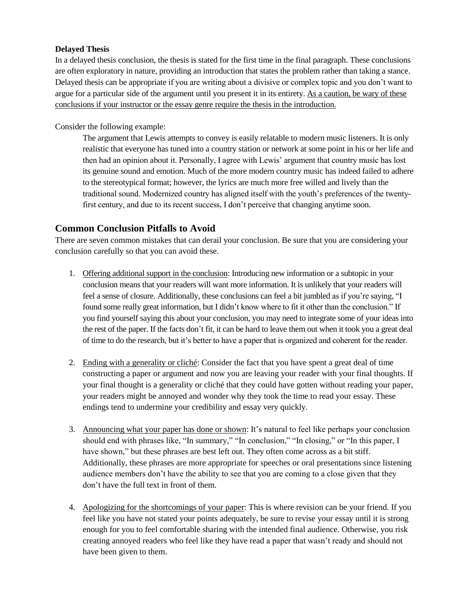## **Delayed Thesis**

In a delayed thesis conclusion, the thesis is stated for the first time in the final paragraph. These conclusions are often exploratory in nature, providing an introduction that states the problem rather than taking a stance. Delayed thesis can be appropriate if you are writing about a divisive or complex topic and you don't want to argue for a particular side of the argument until you present it in its entirety. As a caution, be wary of these conclusions if your instructor or the essay genre require the thesis in the introduction.

Consider the following example:

The argument that Lewis attempts to convey is easily relatable to modern music listeners. It is only realistic that everyone has tuned into a country station or network at some point in his or her life and then had an opinion about it. Personally, I agree with Lewis' argument that country music has lost its genuine sound and emotion. Much of the more modern country music has indeed failed to adhere to the stereotypical format; however, the lyrics are much more free willed and lively than the traditional sound. Modernized country has aligned itself with the youth's preferences of the twentyfirst century, and due to its recent success, I don't perceive that changing anytime soon.

## **Common Conclusion Pitfalls to Avoid**

There are seven common mistakes that can derail your conclusion. Be sure that you are considering your conclusion carefully so that you can avoid these.

- 1. Offering additional support in the conclusion: Introducing new information or a subtopic in your conclusion means that your readers will want more information. It is unlikely that your readers will feel a sense of closure. Additionally, these conclusions can feel a bit jumbled as if you're saying, "I found some really great information, but I didn't know where to fit it other than the conclusion." If you find yourself saying this about your conclusion, you may need to integrate some of your ideas into the rest of the paper. If the facts don't fit, it can be hard to leave them out when it took you a great deal of time to do the research, but it's better to have a paper that is organized and coherent for the reader.
- 2. Ending with a generality or cliché: Consider the fact that you have spent a great deal of time constructing a paper or argument and now you are leaving your reader with your final thoughts. If your final thought is a generality or cliché that they could have gotten without reading your paper, your readers might be annoyed and wonder why they took the time to read your essay. These endings tend to undermine your credibility and essay very quickly.
- 3. Announcing what your paper has done or shown: It's natural to feel like perhaps your conclusion should end with phrases like, "In summary," "In conclusion," "In closing," or "In this paper, I have shown," but these phrases are best left out. They often come across as a bit stiff. Additionally, these phrases are more appropriate for speeches or oral presentations since listening audience members don't have the ability to see that you are coming to a close given that they don't have the full text in front of them.
- 4. Apologizing for the shortcomings of your paper: This is where revision can be your friend. If you feel like you have not stated your points adequately, be sure to revise your essay until it is strong enough for you to feel comfortable sharing with the intended final audience. Otherwise, you risk creating annoyed readers who feel like they have read a paper that wasn't ready and should not have been given to them.